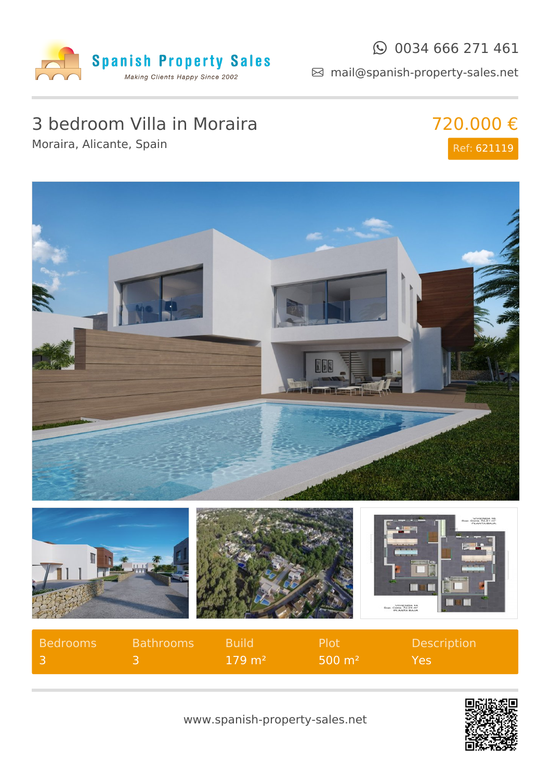

#### $\odot$  0034 666 271 461

mail@spanish-property-sales.net

## 3 bedroom Villa in Moraira

Moraira, Alicante, Spain

# 720.000 € Ref: 621119



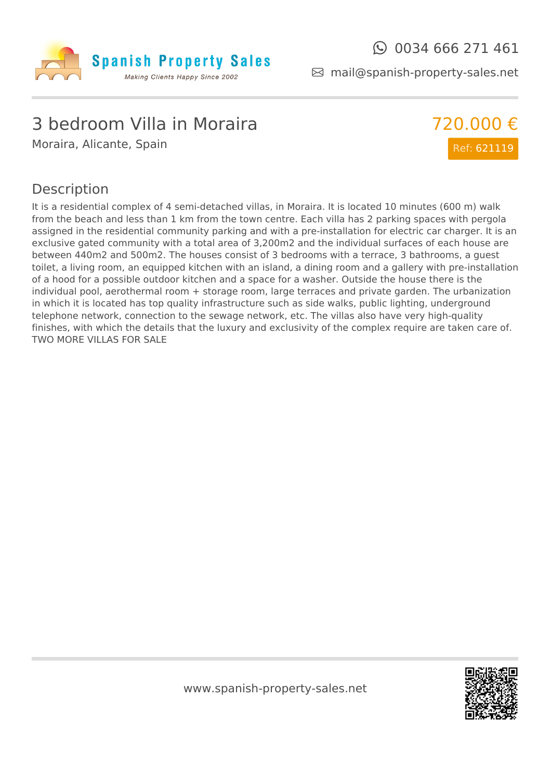

mail@spanish-property-sales.net

## 3 bedroom Villa in Moraira

Moraira, Alicante, Spain



#### Description

It is a residential complex of 4 semi-detached villas, in Moraira. It is located 10 minutes (600 m) walk from the beach and less than 1 km from the town centre. Each villa has 2 parking spaces with pergola assigned in the residential community parking and with a pre-installation for electric car charger. It is an exclusive gated community with a total area of 3,200m2 and the individual surfaces of each house are between 440m2 and 500m2. The houses consist of 3 bedrooms with a terrace, 3 bathrooms, a guest toilet, a living room, an equipped kitchen with an island, a dining room and a gallery with pre-installation of a hood for a possible outdoor kitchen and a space for a washer. Outside the house there is the individual pool, aerothermal room + storage room, large terraces and private garden. The urbanization in which it is located has top quality infrastructure such as side walks, public lighting, underground telephone network, connection to the sewage network, etc. The villas also have very high-quality finishes, with which the details that the luxury and exclusivity of the complex require are taken care of. TWO MORE VILLAS FOR SALE